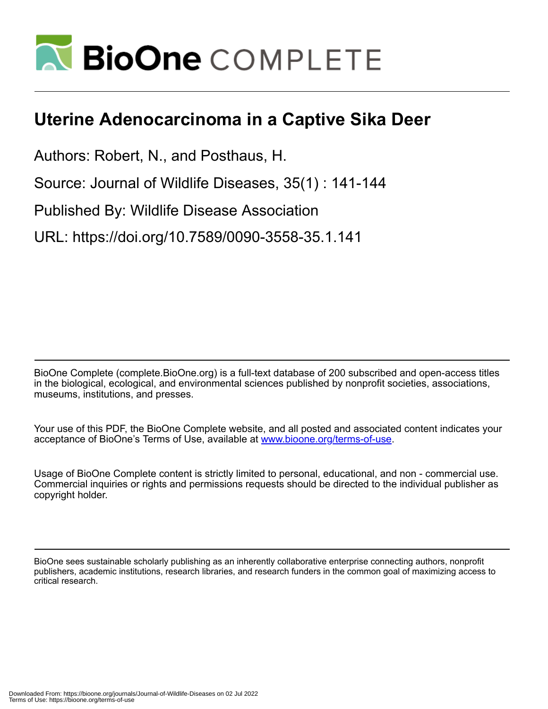

## **Uterine Adenocarcinoma in a Captive Sika Deer**

Authors: Robert, N., and Posthaus, H.

Source: Journal of Wildlife Diseases, 35(1) : 141-144

Published By: Wildlife Disease Association

URL: https://doi.org/10.7589/0090-3558-35.1.141

BioOne Complete (complete.BioOne.org) is a full-text database of 200 subscribed and open-access titles in the biological, ecological, and environmental sciences published by nonprofit societies, associations, museums, institutions, and presses.

Your use of this PDF, the BioOne Complete website, and all posted and associated content indicates your acceptance of BioOne's Terms of Use, available at www.bioone.org/terms-of-use.

Usage of BioOne Complete content is strictly limited to personal, educational, and non - commercial use. Commercial inquiries or rights and permissions requests should be directed to the individual publisher as copyright holder.

BioOne sees sustainable scholarly publishing as an inherently collaborative enterprise connecting authors, nonprofit publishers, academic institutions, research libraries, and research funders in the common goal of maximizing access to critical research.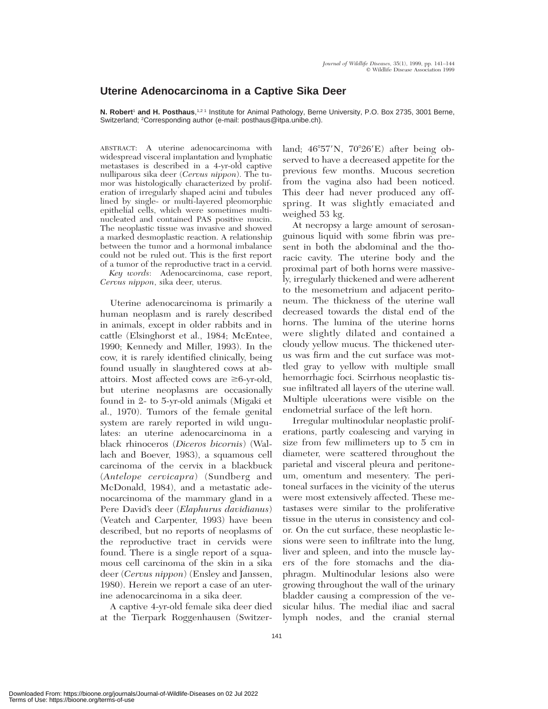## **Uterine Adenocarcinoma in a Captive Sika Deer**

**N. Robert<sup>1</sup> and H. Posthaus**,<sup>1,21</sup> Institute for Animal Pathology, Berne University, P.O. Box 2735, 3001 Berne, Switzerland; 2Corresponding author (e-mail: posthaus@itpa.unibe.ch).

ABSTRACT: A uterine adenocarcinoma with widespread visceral implantation and lymphatic metastases is described in a 4-yr-old captive nulliparous sika deer (*Cervus nippon*). The tumor was histologically characterized by proliferation of irregularly shaped acini and tubules lined by single- or multi-layered pleomorphic epithelial cells, which were sometimes multinucleated and contained PAS positive mucin. The neoplastic tissue was invasive and showed a marked desmoplastic reaction. A relationship between the tumor and a hormonal imbalance could not be ruled out. This is the first report of a tumor of the reproductive tract in a cervid. *Key words*: Adenocarcinoma, case report, *Cervus nippon*, sika deer, uterus.

Uterine adenocarcinoma is primarily a human neoplasm and is rarely described in animals, except in older rabbits and in cattle (Elsinghorst et al., 1984; McEntee, 1990; Kennedy and Miller, 1993). In the cow, it is rarely identified clinically, being found usually in slaughtered cows at abattoirs. Most affected cows are  $\geq$ 6-yr-old, but uterine neoplasms are occasionally found in 2- to 5-yr-old animals (Migaki et al., 1970). Tumors of the female genital system are rarely reported in wild ungulates: an uterine adenocarcinoma in a black rhinoceros (*Diceros bicornis*) (Wallach and Boever, 1983), a squamous cell carcinoma of the cervix in a blackbuck (*Antelope cervicapra*) (Sundberg and McDonald, 1984), and a metastatic adenocarcinoma of the mammary gland in a Pere David's deer (*Elaphurus davidianus*) (Veatch and Carpenter, 1993) have been described, but no reports of neoplasms of the reproductive tract in cervids were found. There is a single report of a squamous cell carcinoma of the skin in a sika deer (*Cervus nippon*) (Ensley and Janssen, 1980). Herein we report a case of an uterine adenocarcinoma in a sika deer.

A captive 4-yr-old female sika deer died at the Tierpark Roggenhausen (Switzerland;  $46^{\circ}57'$ N,  $70^{\circ}26'E$ ) after being observed to have a decreased appetite for the previous few months. Mucous secretion from the vagina also had been noticed. This deer had never produced any offspring. It was slightly emaciated and weighed 53 kg.

At necropsy a large amount of serosanguinous liquid with some fibrin was present in both the abdominal and the thoracic cavity. The uterine body and the proximal part of both horns were massively, irregularly thickened and were adherent to the mesometrium and adjacent peritoneum. The thickness of the uterine wall decreased towards the distal end of the horns. The lumina of the uterine horns were slightly dilated and contained a cloudy yellow mucus. The thickened uterus was firm and the cut surface was mottled gray to yellow with multiple small hemorrhagic foci. Scirrhous neoplastic tissue infiltrated all layers of the uterine wall. Multiple ulcerations were visible on the endometrial surface of the left horn.

Irregular multinodular neoplastic proliferations, partly coalescing and varying in size from few millimeters up to 5 cm in diameter, were scattered throughout the parietal and visceral pleura and peritoneum, omentum and mesentery. The peritoneal surfaces in the vicinity of the uterus were most extensively affected. These metastases were similar to the proliferative tissue in the uterus in consistency and color. On the cut surface, these neoplastic lesions were seen to infiltrate into the lung, liver and spleen, and into the muscle layers of the fore stomachs and the diaphragm. Multinodular lesions also were growing throughout the wall of the urinary bladder causing a compression of the vesicular hilus. The medial iliac and sacral lymph nodes, and the cranial sternal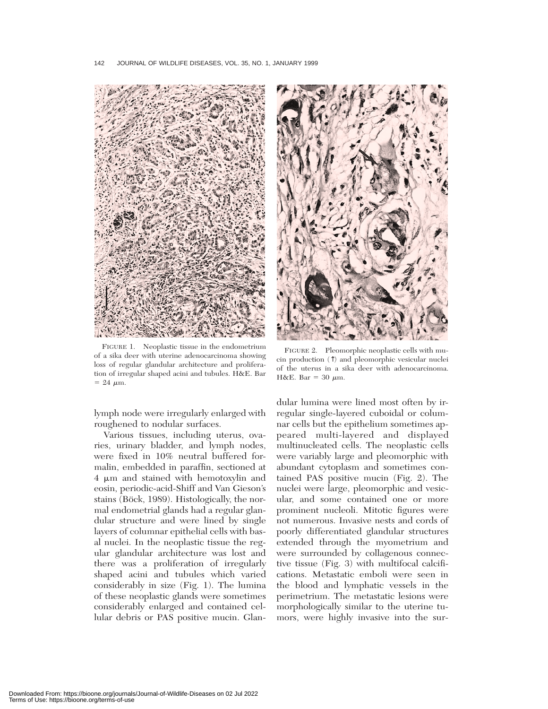142 JOURNAL OF WILDLIFE DISEASES, VOL. 35, NO. 1, JANUARY 1999



FIGURE 1. Neoplastic tissue in the endometrium of a sika deer with uterine adenocarcinoma showing loss of regular glandular architecture and proliferation of irregular shaped acini and tubules. H&E. Bar  $= 24 \mu m$ .

lymph node were irregularly enlarged with roughened to nodular surfaces.

Various tissues, including uterus, ovaries, urinary bladder, and lymph nodes, were fixed in 10% neutral buffered formalin, embedded in paraffin, sectioned at 4  $\mu$ m and stained with hemotoxylin and eosin, periodic-acid-Shiff and Van Gieson's stains (Böck, 1989). Histologically, the normal endometrial glands had a regular glandular structure and were lined by single layers of columnar epithelial cells with basal nuclei. In the neoplastic tissue the regular glandular architecture was lost and there was a proliferation of irregularly shaped acini and tubules which varied considerably in size (Fig. 1). The lumina of these neoplastic glands were sometimes considerably enlarged and contained cellular debris or PAS positive mucin. Glan-



FIGURE 2. Pleomorphic neoplastic cells with mucin production (↑) and pleomorphic vesicular nuclei of the uterus in a sika deer with adenocarcinoma. H&E. Bar = 30  $\mu$ m.

dular lumina were lined most often by irregular single-layered cuboidal or columnar cells but the epithelium sometimes appeared multi-layered and displayed multinucleated cells. The neoplastic cells were variably large and pleomorphic with abundant cytoplasm and sometimes contained PAS positive mucin (Fig. 2). The nuclei were large, pleomorphic and vesicular, and some contained one or more prominent nucleoli. Mitotic figures were not numerous. Invasive nests and cords of poorly differentiated glandular structures extended through the myometrium and were surrounded by collagenous connective tissue (Fig. 3) with multifocal calcifications. Metastatic emboli were seen in the blood and lymphatic vessels in the perimetrium. The metastatic lesions were morphologically similar to the uterine tumors, were highly invasive into the sur-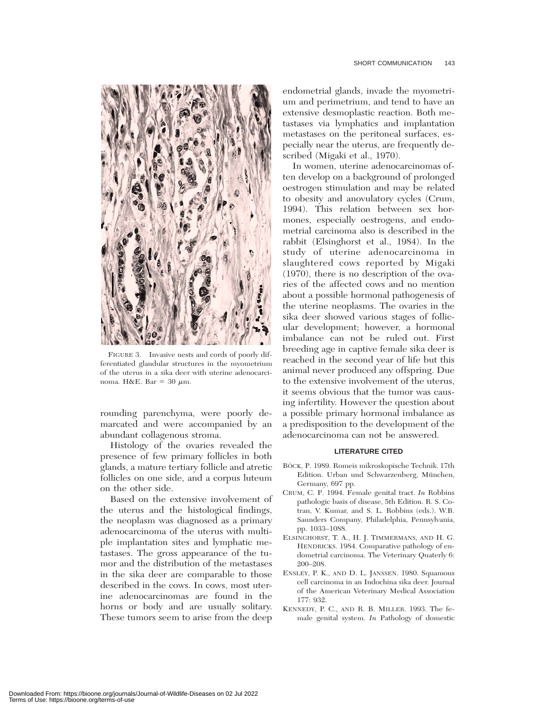

FIGURE 3. Invasive nests and cords of poorly differentiated glandular structures in the myometrium of the uterus in a sika deer with uterine adenocarcinoma. H&E. Bar = 30  $\mu$ m.

rounding parenchyma, were poorly demarcated and were accompanied by an abundant collagenous stroma.

Histology of the ovaries revealed the presence of few primary follicles in both glands, a mature tertiary follicle and atretic follicles on one side, and a corpus luteum on the other side.

Based on the extensive involvement of the uterus and the histological findings, the neoplasm was diagnosed as a primary adenocarcinoma of the uterus with multiple implantation sites and lymphatic metastases. The gross appearance of the tumor and the distribution of the metastases in the sika deer are comparable to those described in the cows. In cows, most uterine adenocarcinomas are found in the horns or body and are usually solitary. These tumors seem to arise from the deep

endometrial glands, invade the myometrium and perimetrium, and tend to have an extensive desmoplastic reaction. Both metastases via lymphatics and implantation metastases on the peritoneal surfaces, especially near the uterus, are frequently described (Migaki et al., 1970).

In women, uterine adenocarcinomas often develop on a background of prolonged oestrogen stimulation and may be related to obesity and anovulatory cycles (Crum, 1994). This relation between sex hormones, especially oestrogens, and endometrial carcinoma also is described in the rabbit (Elsinghorst et al., 1984). In the study of uterine adenocarcinoma in slaughtered cows reported by Migaki (1970), there is no description of the ovaries of the affected cows and no mention about a possible hormonal pathogenesis of the uterine neoplasms. The ovaries in the sika deer showed various stages of follicular development; however, a hormonal imbalance can not be ruled out. First breeding age in captive female sika deer is reached in the second year of life but this animal never produced any offspring. Due to the extensive involvement of the uterus, it seems obvious that the tumor was causing infertility. However the question about a possible primary hormonal imbalance as a predisposition to the development of the adenocarcinoma can not be answered.

## **LITERATURE CITED**

- BÖCK, P. 1989. Romeis mikroskopische Technik. 17th Edition. Urban und Schwarzenberg, München, Germany, 697 pp.
- CRUM, C. P. 1994. Female genital tract. *In* Robbins pathologic basis of disease, 5th Edition. R. S. Cotran, V. Kumar, and S. L. Robbins (eds.). W.B. Saunders Company, Philadelphia, Pennsylvania, pp. 1033–1088.
- ELSINGHORST, T. A., H. J. TIMMERMANS, AND H. G. HENDRICKS. 1984. Comparative pathology of endometrial carcinoma. The Veterinary Quaterly 6: 200–208.
- ENSLEY, P. K., AND D. L. JANSSEN. 1980. Squamous cell carcinoma in an Indochina sika deer. Journal of the American Veterinary Medical Association 177: 932.
- KENNEDY, P. C., AND R. B. MILLER. 1993. The female genital system. *In* Pathology of domestic